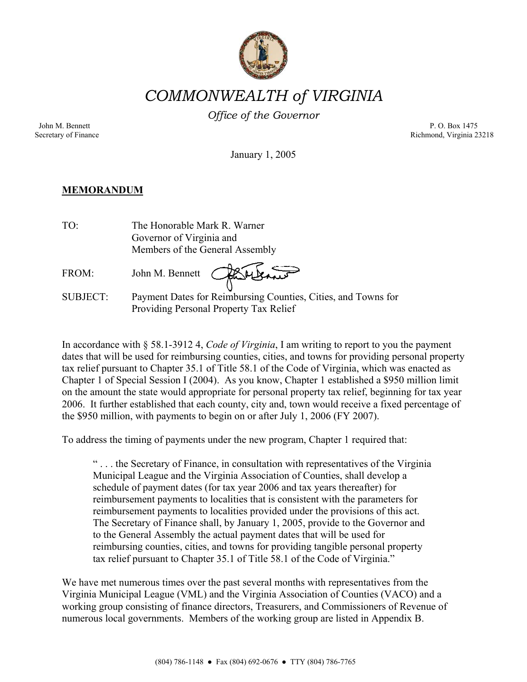

# *COMMONWEALTH of VIRGINIA*

*Office of the Governor*

John M. Bennett P. O. Box 1475 Secretary of Finance Richmond, Virginia 23218

January 1, 2005

## **MEMORANDUM**

| TO:             | The Honorable Mark R. Warner                                                                            |
|-----------------|---------------------------------------------------------------------------------------------------------|
|                 | Governor of Virginia and                                                                                |
|                 | Members of the General Assembly                                                                         |
| FROM:           | John M. Bennett Charles                                                                                 |
| <b>SUBJECT:</b> | Payment Dates for Reimbursing Counties, Cities, and Towns for<br>Providing Personal Property Tax Relief |

In accordance with § 58.1-3912 4, *Code of Virginia*, I am writing to report to you the payment dates that will be used for reimbursing counties, cities, and towns for providing personal property tax relief pursuant to Chapter 35.1 of Title 58.1 of the Code of Virginia, which was enacted as Chapter 1 of Special Session I (2004). As you know, Chapter 1 established a \$950 million limit on the amount the state would appropriate for personal property tax relief, beginning for tax year 2006. It further established that each county, city and, town would receive a fixed percentage of the \$950 million, with payments to begin on or after July 1, 2006 (FY 2007).

To address the timing of payments under the new program, Chapter 1 required that:

" . . . the Secretary of Finance, in consultation with representatives of the Virginia Municipal League and the Virginia Association of Counties, shall develop a schedule of payment dates (for tax year 2006 and tax years thereafter) for reimbursement payments to localities that is consistent with the parameters for reimbursement payments to localities provided under the provisions of this act. The Secretary of Finance shall, by January 1, 2005, provide to the Governor and to the General Assembly the actual payment dates that will be used for reimbursing counties, cities, and towns for providing tangible personal property tax relief pursuant to Chapter 35.1 of Title 58.1 of the Code of Virginia."

We have met numerous times over the past several months with representatives from the Virginia Municipal League (VML) and the Virginia Association of Counties (VACO) and a working group consisting of finance directors, Treasurers, and Commissioners of Revenue of numerous local governments. Members of the working group are listed in Appendix B.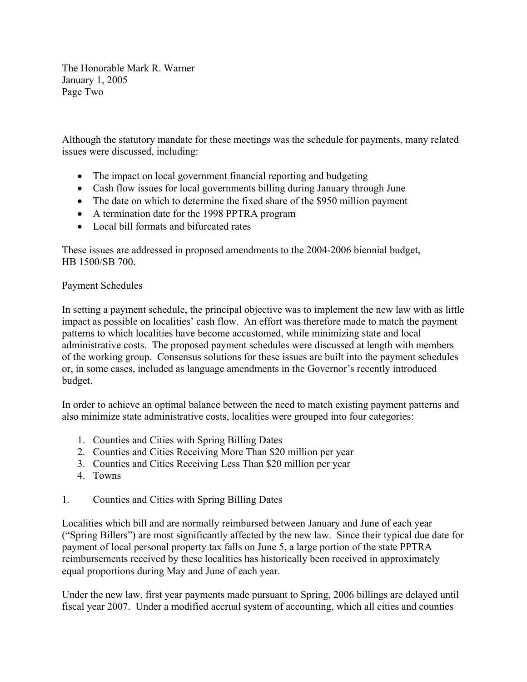The Honorable Mark R. Warner January 1, 2005 Page Two

Although the statutory mandate for these meetings was the schedule for payments, many related issues were discussed, including:

- The impact on local government financial reporting and budgeting
- Cash flow issues for local governments billing during January through June
- The date on which to determine the fixed share of the \$950 million payment
- A termination date for the 1998 PPTRA program
- Local bill formats and bifurcated rates

These issues are addressed in proposed amendments to the 2004-2006 biennial budget, HB 1500/SB 700.

## Payment Schedules

In setting a payment schedule, the principal objective was to implement the new law with as little impact as possible on localities' cash flow. An effort was therefore made to match the payment patterns to which localities have become accustomed, while minimizing state and local administrative costs. The proposed payment schedules were discussed at length with members of the working group. Consensus solutions for these issues are built into the payment schedules or, in some cases, included as language amendments in the Governor's recently introduced budget.

In order to achieve an optimal balance between the need to match existing payment patterns and also minimize state administrative costs, localities were grouped into four categories:

- 1. Counties and Cities with Spring Billing Dates
- 2. Counties and Cities Receiving More Than \$20 million per year
- 3. Counties and Cities Receiving Less Than \$20 million per year
- 4. Towns
- 1. Counties and Cities with Spring Billing Dates

Localities which bill and are normally reimbursed between January and June of each year ("Spring Billers") are most significantly affected by the new law. Since their typical due date for payment of local personal property tax falls on June 5, a large portion of the state PPTRA reimbursements received by these localities has historically been received in approximately equal proportions during May and June of each year.

Under the new law, first year payments made pursuant to Spring, 2006 billings are delayed until fiscal year 2007. Under a modified accrual system of accounting, which all cities and counties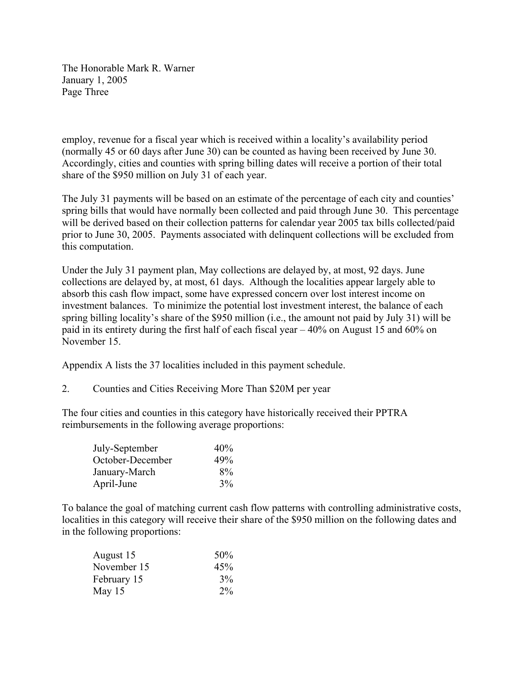The Honorable Mark R. Warner January 1, 2005 Page Three

employ, revenue for a fiscal year which is received within a locality's availability period (normally 45 or 60 days after June 30) can be counted as having been received by June 30. Accordingly, cities and counties with spring billing dates will receive a portion of their total share of the \$950 million on July 31 of each year.

The July 31 payments will be based on an estimate of the percentage of each city and counties' spring bills that would have normally been collected and paid through June 30. This percentage will be derived based on their collection patterns for calendar year 2005 tax bills collected/paid prior to June 30, 2005. Payments associated with delinquent collections will be excluded from this computation.

Under the July 31 payment plan, May collections are delayed by, at most, 92 days. June collections are delayed by, at most, 61 days. Although the localities appear largely able to absorb this cash flow impact, some have expressed concern over lost interest income on investment balances. To minimize the potential lost investment interest, the balance of each spring billing locality's share of the \$950 million (i.e., the amount not paid by July 31) will be paid in its entirety during the first half of each fiscal year – 40% on August 15 and 60% on November 15.

Appendix A lists the 37 localities included in this payment schedule.

2. Counties and Cities Receiving More Than \$20M per year

The four cities and counties in this category have historically received their PPTRA reimbursements in the following average proportions:

| July-September   | 40%   |
|------------------|-------|
| October-December | 49%   |
| January-March    | $8\%$ |
| April-June       | 3%    |

To balance the goal of matching current cash flow patterns with controlling administrative costs, localities in this category will receive their share of the \$950 million on the following dates and in the following proportions:

| August 15   | 50%   |
|-------------|-------|
| November 15 | 45%   |
| February 15 | $3\%$ |
| May 15      | $2\%$ |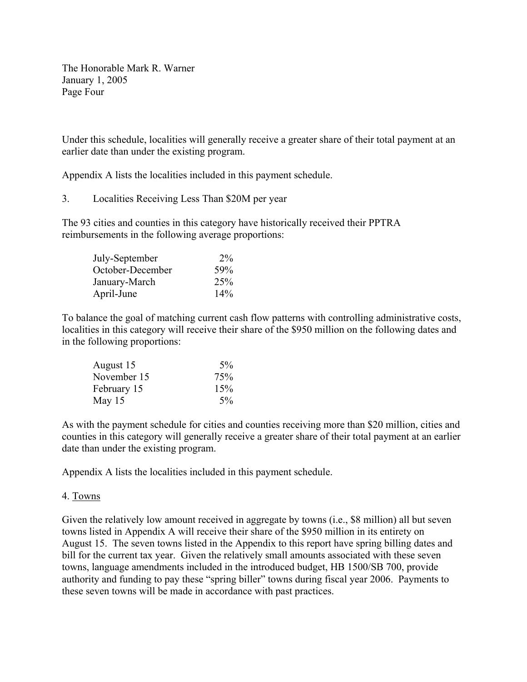The Honorable Mark R. Warner January 1, 2005 Page Four

Under this schedule, localities will generally receive a greater share of their total payment at an earlier date than under the existing program.

Appendix A lists the localities included in this payment schedule.

3. Localities Receiving Less Than \$20M per year

The 93 cities and counties in this category have historically received their PPTRA reimbursements in the following average proportions:

| July-September   | $2\%$           |
|------------------|-----------------|
| October-December | 59%             |
| January-March    | 25 <sup>%</sup> |
| April-June       | 14%             |

To balance the goal of matching current cash flow patterns with controlling administrative costs, localities in this category will receive their share of the \$950 million on the following dates and in the following proportions:

| August 15   | $5\%$ |
|-------------|-------|
| November 15 | 75%   |
| February 15 | 15%   |
| May 15      | $5\%$ |

As with the payment schedule for cities and counties receiving more than \$20 million, cities and counties in this category will generally receive a greater share of their total payment at an earlier date than under the existing program.

Appendix A lists the localities included in this payment schedule.

## 4. Towns

Given the relatively low amount received in aggregate by towns (i.e., \$8 million) all but seven towns listed in Appendix A will receive their share of the \$950 million in its entirety on August 15. The seven towns listed in the Appendix to this report have spring billing dates and bill for the current tax year. Given the relatively small amounts associated with these seven towns, language amendments included in the introduced budget, HB 1500/SB 700, provide authority and funding to pay these "spring biller" towns during fiscal year 2006. Payments to these seven towns will be made in accordance with past practices.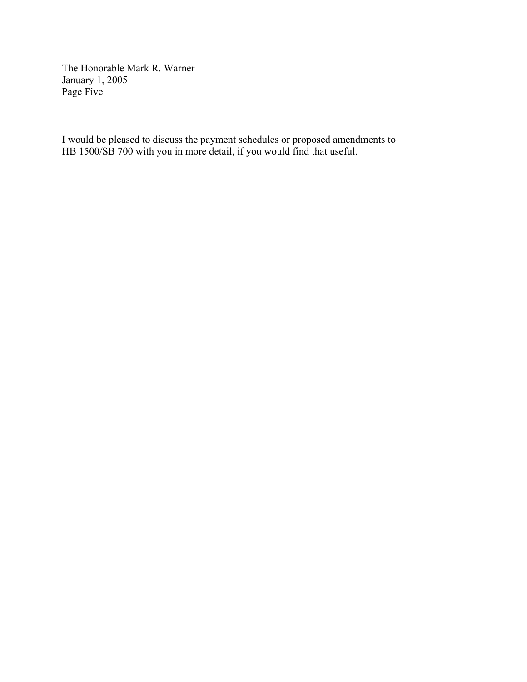The Honorable Mark R. Warner January 1, 2005 Page Five

I would be pleased to discuss the payment schedules or proposed amendments to HB 1500/SB 700 with you in more detail, if you would find that useful.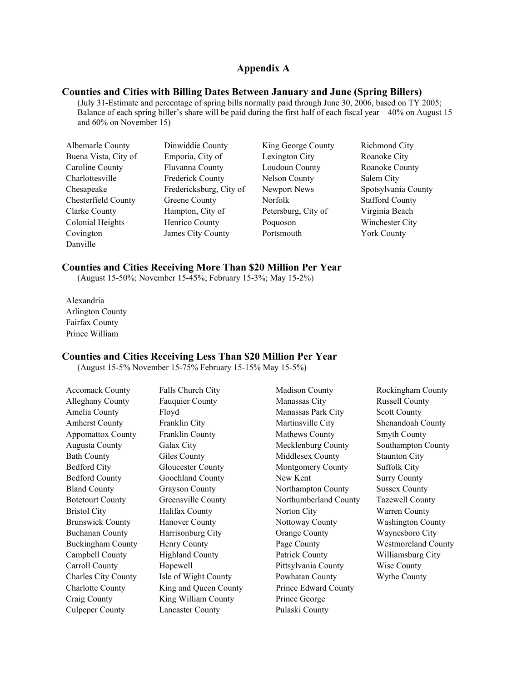#### **Appendix A**

#### **Counties and Cities with Billing Dates Between January and June (Spring Billers)**

(July 31**-**Estimate and percentage of spring bills normally paid through June 30, 2006, based on TY 2005; Balance of each spring biller's share will be paid during the first half of each fiscal year – 40% on August 15 and 60% on November 15)

| Albemarle County     | Dinwiddie County        | Kin  |
|----------------------|-------------------------|------|
| Buena Vista, City of | Emporia, City of        | Lex  |
| Caroline County      | Fluvanna County         | Lou  |
| Charlottesville      | <b>Frederick County</b> | Nel  |
| Chesapeake           | Fredericksburg, City of | Nev  |
| Chesterfield County  | Greene County           | Nor  |
| <b>Clarke County</b> | Hampton, City of        | Pete |
| Colonial Heights     | Henrico County          | Poq  |
| Covington            | James City County       | Por  |
| Danville             |                         |      |

g George County Richmond City Example 1 Superina Vista, City of Roanoke City Roanoke City Roanoke County Roanoke County Son County Salem City vport News Spotsylvania County Folk Stafford County ersburg, City of Virginia Beach quoson Winchester City tsmouth York County

#### **Counties and Cities Receiving More Than \$20 Million Per Year**

(August 15-50%; November 15-45%; February 15-3%; May 15-2%)

Alexandria Arlington County Fairfax County Prince William

#### **Counties and Cities Receiving Less Than \$20 Million Per Year**

Culpeper County Lancaster County Pulaski County

(August 15-5% November 15-75% February 15-15% May 15-5%)

| <b>Accomack County</b>     | Falls Church City        | <b>Madison County</b> | Rockingham County          |
|----------------------------|--------------------------|-----------------------|----------------------------|
| Alleghany County           | <b>Fauquier County</b>   | Manassas City         | <b>Russell County</b>      |
| Amelia County              | Floyd                    | Manassas Park City    | <b>Scott County</b>        |
| <b>Amherst County</b>      | Franklin City            | Martinsville City     | Shenandoah County          |
| <b>Appomattox County</b>   | Franklin County          | Mathews County        | <b>Smyth County</b>        |
| Augusta County             | Galax City               | Mecklenburg County    | Southampton County         |
| <b>Bath County</b>         | Giles County             | Middlesex County      | <b>Staunton City</b>       |
| <b>Bedford City</b>        | <b>Gloucester County</b> | Montgomery County     | <b>Suffolk City</b>        |
| <b>Bedford County</b>      | Goochland County         | New Kent              | <b>Surry County</b>        |
| <b>Bland County</b>        | <b>Grayson County</b>    | Northampton County    | <b>Sussex County</b>       |
| <b>Botetourt County</b>    | Greensville County       | Northumberland County | <b>Tazewell County</b>     |
| <b>Bristol City</b>        | Halifax County           | Norton City           | Warren County              |
| <b>Brunswick County</b>    | <b>Hanover County</b>    | Nottoway County       | <b>Washington County</b>   |
| <b>Buchanan County</b>     | Harrisonburg City        | <b>Orange County</b>  | Waynesboro City            |
| <b>Buckingham County</b>   | Henry County             | Page County           | <b>Westmoreland County</b> |
| Campbell County            | <b>Highland County</b>   | Patrick County        | Williamsburg City          |
| Carroll County             | Hopewell                 | Pittsylvania County   | Wise County                |
| <b>Charles City County</b> | Isle of Wight County     | Powhatan County       | Wythe County               |
| <b>Charlotte County</b>    | King and Queen County    | Prince Edward County  |                            |
| Craig County               | King William County      | Prince George         |                            |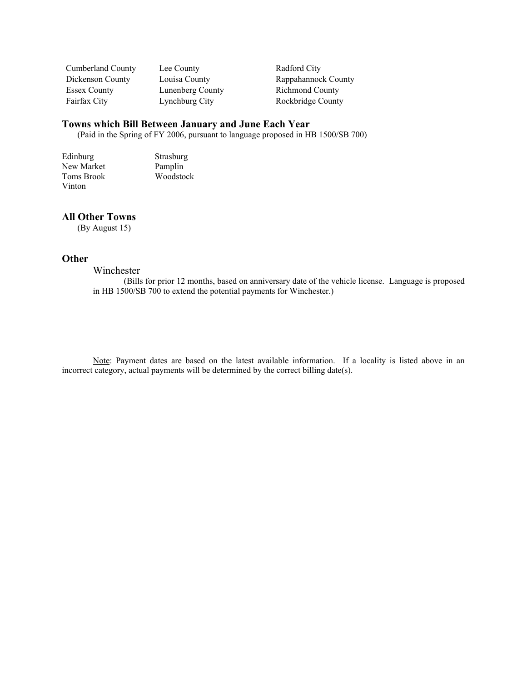| Cumberland County   |  |
|---------------------|--|
| Dickenson County    |  |
| <b>Essex County</b> |  |
| Fairfax City        |  |

Lee County Radford City Lunenberg County Richmond County

Louisa County Rappahannock County Lynchburg City Rockbridge County

## **Towns which Bill Between January and June Each Year**

(Paid in the Spring of FY 2006, pursuant to language proposed in HB 1500/SB 700)

Edinburg Strasburg<br>
New Market Pamplin New Market<br>Toms Brook Woodstock Vinton

#### **All Other Towns**

(By August 15)

## **Other**

Winchester

(Bills for prior 12 months, based on anniversary date of the vehicle license. Language is proposed in HB 1500/SB 700 to extend the potential payments for Winchester.)

Note: Payment dates are based on the latest available information. If a locality is listed above in an incorrect category, actual payments will be determined by the correct billing date(s).